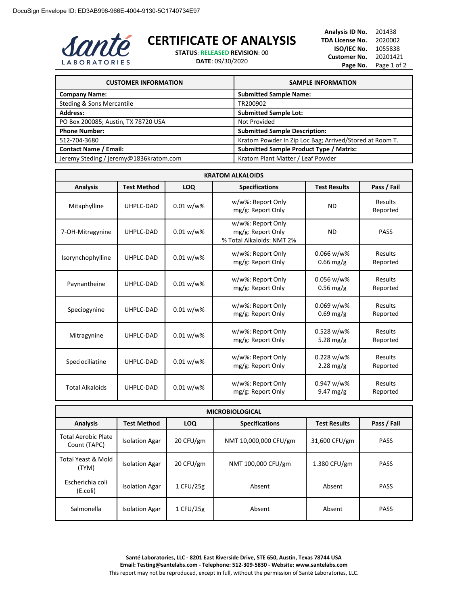

## **CERTIFICATE OF ANALYSIS**

**STATUS**: **RELEASED REVISION**: 00

**DATE**: 09/30/2020

**Analysis ID No.** 201438 **TDA License No.** 2020002 **ISO/IEC No.** 1055838 **Customer No.** 20201421 Page No. Page 1 of 2

| <b>CUSTOMER INFORMATION</b>            | <b>SAMPLE INFORMATION</b>                               |
|----------------------------------------|---------------------------------------------------------|
| <b>Company Name:</b>                   | <b>Submitted Sample Name:</b>                           |
| Steding & Sons Mercantile              | TR200902                                                |
| <b>Address:</b>                        | <b>Submitted Sample Lot:</b>                            |
| PO Box 200085; Austin, TX 78720 USA    | Not Provided                                            |
| <b>Phone Number:</b>                   | <b>Submitted Sample Description:</b>                    |
| 512-704-3680                           | Kratom Powder In Zip Loc Bag; Arrived/Stored at Room T. |
| <b>Contact Name / Email:</b>           | <b>Submitted Sample Product Type / Matrix:</b>          |
| Jeremy Steding / jeremy@1836kratom.com | Kratom Plant Matter / Leaf Powder                       |

| <b>KRATOM ALKALOIDS</b>                                                                                            |           |              |                                                                     |                              |                     |
|--------------------------------------------------------------------------------------------------------------------|-----------|--------------|---------------------------------------------------------------------|------------------------------|---------------------|
| Pass / Fail<br><b>Test Method</b><br><b>LOQ</b><br><b>Analysis</b><br><b>Specifications</b><br><b>Test Results</b> |           |              |                                                                     |                              |                     |
| Mitaphylline                                                                                                       | UHPLC-DAD | $0.01 w/w$ % | w/w%: Report Only<br>mg/g: Report Only                              | <b>ND</b>                    | Results<br>Reported |
| 7-OH-Mitragynine                                                                                                   | UHPLC-DAD | $0.01 w/w$ % | w/w%: Report Only<br>mg/g: Report Only<br>% Total Alkaloids: NMT 2% | <b>ND</b>                    | <b>PASS</b>         |
| Isorynchophylline                                                                                                  | UHPLC-DAD | 0.01 w/w%    | w/w%: Report Only<br>mg/g: Report Only                              | $0.066$ w/w%<br>$0.66$ mg/g  | Results<br>Reported |
| Paynantheine                                                                                                       | UHPLC-DAD | $0.01 w/w$ % | w/w%: Report Only<br>mg/g: Report Only                              | 0.056 w/w%<br>$0.56$ mg/g    | Results<br>Reported |
| Speciogynine                                                                                                       | UHPLC-DAD | $0.01 w/w$ % | w/w%: Report Only<br>mg/g: Report Only                              | $0.069 w/w$ %<br>$0.69$ mg/g | Results<br>Reported |
| Mitragynine                                                                                                        | UHPLC-DAD | $0.01 w/w$ % | w/w%: Report Only<br>mg/g: Report Only                              | $0.528 w/w$ %<br>5.28 mg/g   | Results<br>Reported |
| Speciociliatine                                                                                                    | UHPLC-DAD | $0.01 w/w$ % | w/w%: Report Only<br>mg/g: Report Only                              | $0.228 w/w$ %<br>$2.28$ mg/g | Results<br>Reported |
| <b>Total Alkaloids</b>                                                                                             | UHPLC-DAD | $0.01 w/w$ % | w/w%: Report Only<br>mg/g: Report Only                              | 0.947 w/w%<br>9.47 mg/g      | Results<br>Reported |

| <b>MICROBIOLOGICAL</b>              |                       |            |                       |                     |             |
|-------------------------------------|-----------------------|------------|-----------------------|---------------------|-------------|
| <b>Analysis</b>                     | <b>Test Method</b>    | <b>LOQ</b> | <b>Specifications</b> | <b>Test Results</b> | Pass / Fail |
| Total Aerobic Plate<br>Count (TAPC) | <b>Isolation Agar</b> | 20 CFU/gm  | NMT 10,000,000 CFU/gm | 31,600 CFU/gm       | <b>PASS</b> |
| Total Yeast & Mold<br>(TYM)         | <b>Isolation Agar</b> | 20 CFU/gm  | NMT 100,000 CFU/gm    | 1.380 CFU/gm        | <b>PASS</b> |
| Escherichia coli<br>(E.coli)        | <b>Isolation Agar</b> | 1 CFU/25g  | Absent                | Absent              | <b>PASS</b> |
| Salmonella                          | <b>Isolation Agar</b> | 1 CFU/25g  | Absent                | Absent              | <b>PASS</b> |

**Santé Laboratories, LLC - 8201 East Riverside Drive, STE 650, Austin, Texas 78744 USA Email: Testing@santelabs.com - Telephone: 512-309-5830 - Website: www.santelabs.com** This report may not be reproduced, except in full, without the permission of Santé Laboratories, LLC.